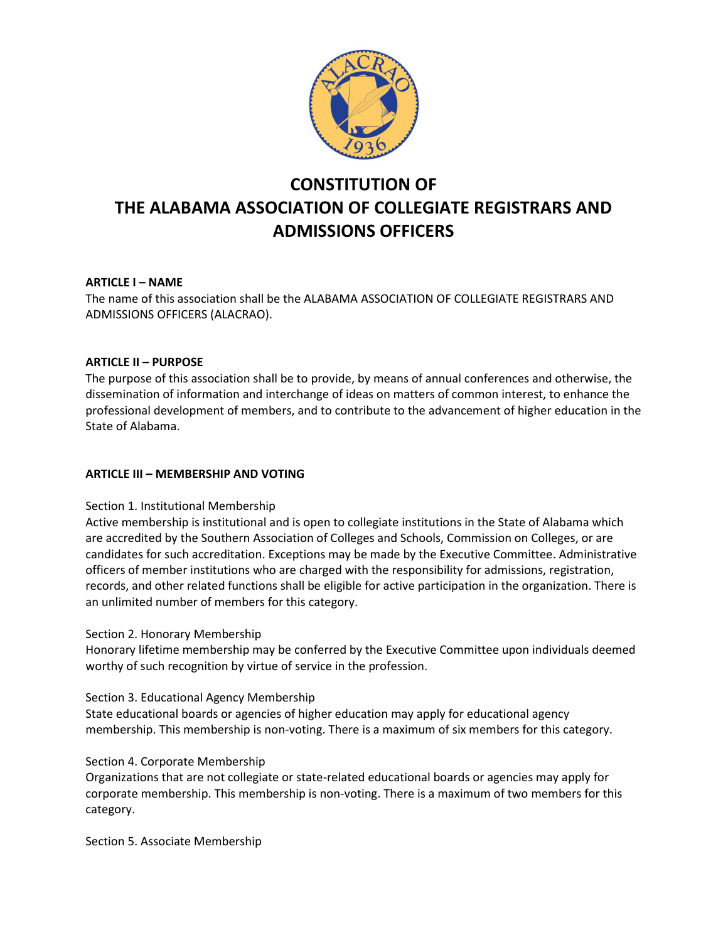

# CONSTITUTION OF THE ALABAMA ASSOCIATION OF COLLEGIATE REGISTRARS AND ADMISSIONS OFFICERS

# ARTICLE I – NAME

The name of this association shall be the ALABAMA ASSOCIATION OF COLLEGIATE REGISTRARS AND ADMISSIONS OFFICERS (ALACRAO).

# ARTICLE II – PURPOSE

The purpose of this association shall be to provide, by means of annual conferences and otherwise, the dissemination of information and interchange of ideas on matters of common interest, to enhance the professional development of members, and to contribute to the advancement of higher education in the State of Alabama.

# ARTICLE III – MEMBERSHIP AND VOTING

# Section 1. Institutional Membership

Active membership is institutional and is open to collegiate institutions in the State of Alabama which are accredited by the Southern Association of Colleges and Schools, Commission on Colleges, or are candidates for such accreditation. Exceptions may be made by the Executive Committee. Administrative officers of member institutions who are charged with the responsibility for admissions, registration, records, and other related functions shall be eligible for active participation in the organization. There is an unlimited number of members for this category.

# Section 2. Honorary Membership

Honorary lifetime membership may be conferred by the Executive Committee upon individuals deemed worthy of such recognition by virtue of service in the profession.

# Section 3. Educational Agency Membership

State educational boards or agencies of higher education may apply for educational agency membership. This membership is non-voting. There is a maximum of six members for this category.

# Section 4. Corporate Membership

Organizations that are not collegiate or state-related educational boards or agencies may apply for corporate membership. This membership is non-voting. There is a maximum of two members for this category.

Section 5. Associate Membership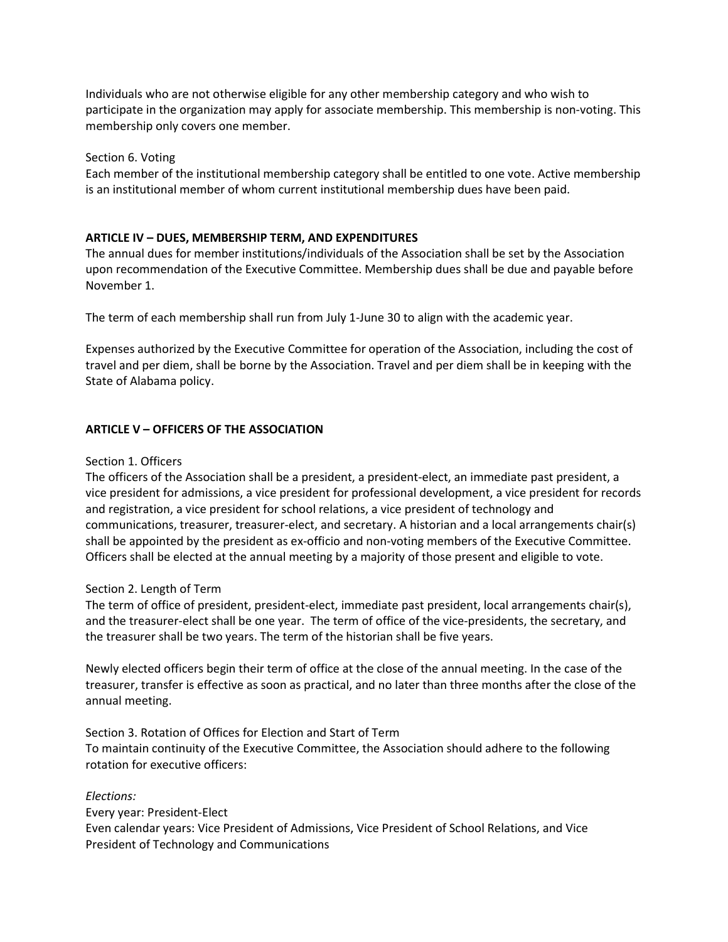Individuals who are not otherwise eligible for any other membership category and who wish to participate in the organization may apply for associate membership. This membership is non-voting. This membership only covers one member.

# Section 6. Voting

Each member of the institutional membership category shall be entitled to one vote. Active membership is an institutional member of whom current institutional membership dues have been paid.

# ARTICLE IV – DUES, MEMBERSHIP TERM, AND EXPENDITURES

The annual dues for member institutions/individuals of the Association shall be set by the Association upon recommendation of the Executive Committee. Membership dues shall be due and payable before November 1.

The term of each membership shall run from July 1-June 30 to align with the academic year.

Expenses authorized by the Executive Committee for operation of the Association, including the cost of travel and per diem, shall be borne by the Association. Travel and per diem shall be in keeping with the State of Alabama policy.

## ARTICLE V – OFFICERS OF THE ASSOCIATION

#### Section 1. Officers

The officers of the Association shall be a president, a president-elect, an immediate past president, a vice president for admissions, a vice president for professional development, a vice president for records and registration, a vice president for school relations, a vice president of technology and communications, treasurer, treasurer-elect, and secretary. A historian and a local arrangements chair(s) shall be appointed by the president as ex-officio and non-voting members of the Executive Committee. Officers shall be elected at the annual meeting by a majority of those present and eligible to vote.

#### Section 2. Length of Term

The term of office of president, president-elect, immediate past president, local arrangements chair(s), and the treasurer-elect shall be one year. The term of office of the vice-presidents, the secretary, and the treasurer shall be two years. The term of the historian shall be five years.

Newly elected officers begin their term of office at the close of the annual meeting. In the case of the treasurer, transfer is effective as soon as practical, and no later than three months after the close of the annual meeting.

# Section 3. Rotation of Offices for Election and Start of Term To maintain continuity of the Executive Committee, the Association should adhere to the following rotation for executive officers:

# Elections:

Every year: President-Elect Even calendar years: Vice President of Admissions, Vice President of School Relations, and Vice President of Technology and Communications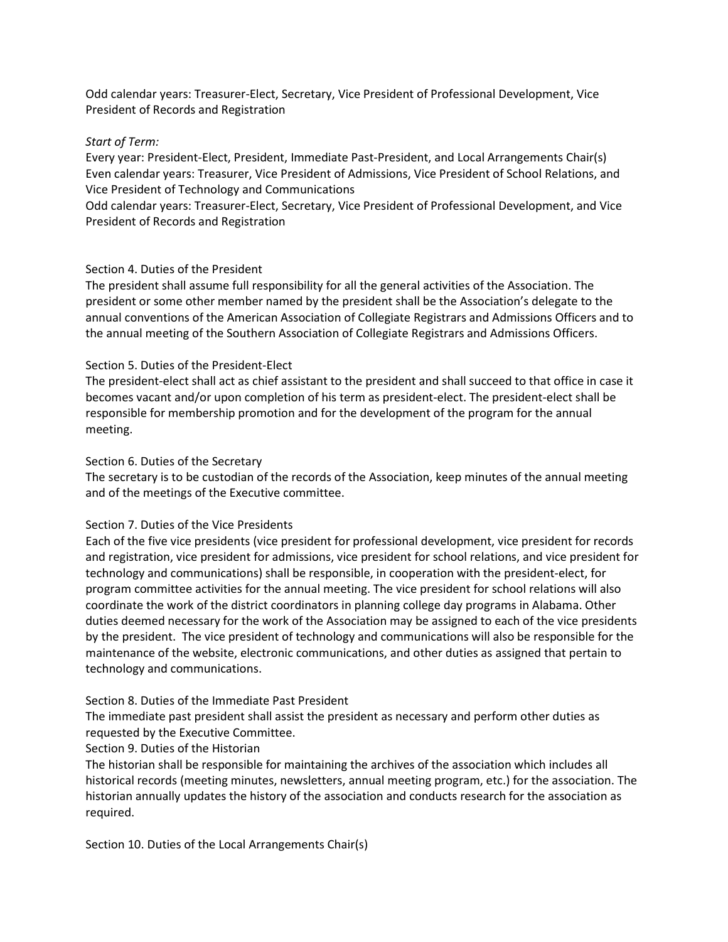Odd calendar years: Treasurer-Elect, Secretary, Vice President of Professional Development, Vice President of Records and Registration

#### Start of Term:

Every year: President-Elect, President, Immediate Past-President, and Local Arrangements Chair(s) Even calendar years: Treasurer, Vice President of Admissions, Vice President of School Relations, and Vice President of Technology and Communications

Odd calendar years: Treasurer-Elect, Secretary, Vice President of Professional Development, and Vice President of Records and Registration

#### Section 4. Duties of the President

The president shall assume full responsibility for all the general activities of the Association. The president or some other member named by the president shall be the Association's delegate to the annual conventions of the American Association of Collegiate Registrars and Admissions Officers and to the annual meeting of the Southern Association of Collegiate Registrars and Admissions Officers.

#### Section 5. Duties of the President-Elect

The president-elect shall act as chief assistant to the president and shall succeed to that office in case it becomes vacant and/or upon completion of his term as president-elect. The president-elect shall be responsible for membership promotion and for the development of the program for the annual meeting.

#### Section 6. Duties of the Secretary

The secretary is to be custodian of the records of the Association, keep minutes of the annual meeting and of the meetings of the Executive committee.

#### Section 7. Duties of the Vice Presidents

Each of the five vice presidents (vice president for professional development, vice president for records and registration, vice president for admissions, vice president for school relations, and vice president for technology and communications) shall be responsible, in cooperation with the president-elect, for program committee activities for the annual meeting. The vice president for school relations will also coordinate the work of the district coordinators in planning college day programs in Alabama. Other duties deemed necessary for the work of the Association may be assigned to each of the vice presidents by the president. The vice president of technology and communications will also be responsible for the maintenance of the website, electronic communications, and other duties as assigned that pertain to technology and communications.

#### Section 8. Duties of the Immediate Past President

The immediate past president shall assist the president as necessary and perform other duties as requested by the Executive Committee.

#### Section 9. Duties of the Historian

The historian shall be responsible for maintaining the archives of the association which includes all historical records (meeting minutes, newsletters, annual meeting program, etc.) for the association. The historian annually updates the history of the association and conducts research for the association as required.

Section 10. Duties of the Local Arrangements Chair(s)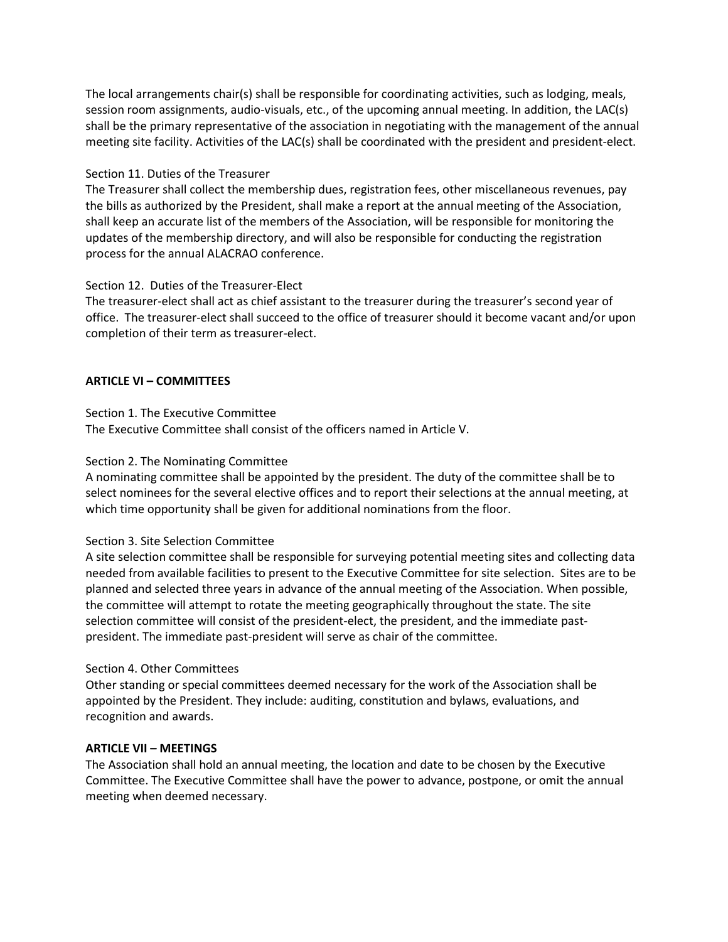The local arrangements chair(s) shall be responsible for coordinating activities, such as lodging, meals, session room assignments, audio-visuals, etc., of the upcoming annual meeting. In addition, the LAC(s) shall be the primary representative of the association in negotiating with the management of the annual meeting site facility. Activities of the LAC(s) shall be coordinated with the president and president-elect.

# Section 11. Duties of the Treasurer

The Treasurer shall collect the membership dues, registration fees, other miscellaneous revenues, pay the bills as authorized by the President, shall make a report at the annual meeting of the Association, shall keep an accurate list of the members of the Association, will be responsible for monitoring the updates of the membership directory, and will also be responsible for conducting the registration process for the annual ALACRAO conference.

## Section 12. Duties of the Treasurer-Elect

The treasurer-elect shall act as chief assistant to the treasurer during the treasurer's second year of office. The treasurer-elect shall succeed to the office of treasurer should it become vacant and/or upon completion of their term as treasurer-elect.

## ARTICLE VI – COMMITTEES

## Section 1. The Executive Committee

The Executive Committee shall consist of the officers named in Article V.

## Section 2. The Nominating Committee

A nominating committee shall be appointed by the president. The duty of the committee shall be to select nominees for the several elective offices and to report their selections at the annual meeting, at which time opportunity shall be given for additional nominations from the floor.

#### Section 3. Site Selection Committee

A site selection committee shall be responsible for surveying potential meeting sites and collecting data needed from available facilities to present to the Executive Committee for site selection. Sites are to be planned and selected three years in advance of the annual meeting of the Association. When possible, the committee will attempt to rotate the meeting geographically throughout the state. The site selection committee will consist of the president-elect, the president, and the immediate pastpresident. The immediate past-president will serve as chair of the committee.

#### Section 4. Other Committees

Other standing or special committees deemed necessary for the work of the Association shall be appointed by the President. They include: auditing, constitution and bylaws, evaluations, and recognition and awards.

#### ARTICLE VII – MEETINGS

The Association shall hold an annual meeting, the location and date to be chosen by the Executive Committee. The Executive Committee shall have the power to advance, postpone, or omit the annual meeting when deemed necessary.